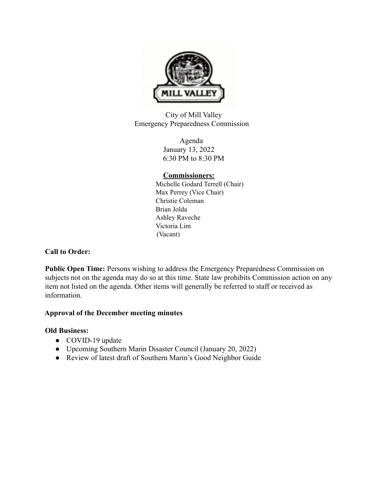

City of Mill Valley Emergency Preparedness Commission

> Agenda January 13, 2022 6:30 PM to 8:30 PM

## **Commissioners:**

Michelle Godard Terrell (Chair) Max Perrey (Vice Chair) Christie Coleman Brian Jolda Ashley Raveche Victoria Lim (Vacant)

# **Call to Order:**

**Public Open Time:** Persons wishing to address the Emergency Preparedness Commission on subjects not on the agenda may do so at this time. State law prohibits Commission action on any item not listed on the agenda. Other items will generally be referred to staff or received as information.

# **Approval of the December meeting minutes**

# **Old Business:**

- COVID-19 update
- Upcoming Southern Marin Disaster Council (January 20, 2022)
- Review of latest draft of Southern Marin's Good Neighbor Guide